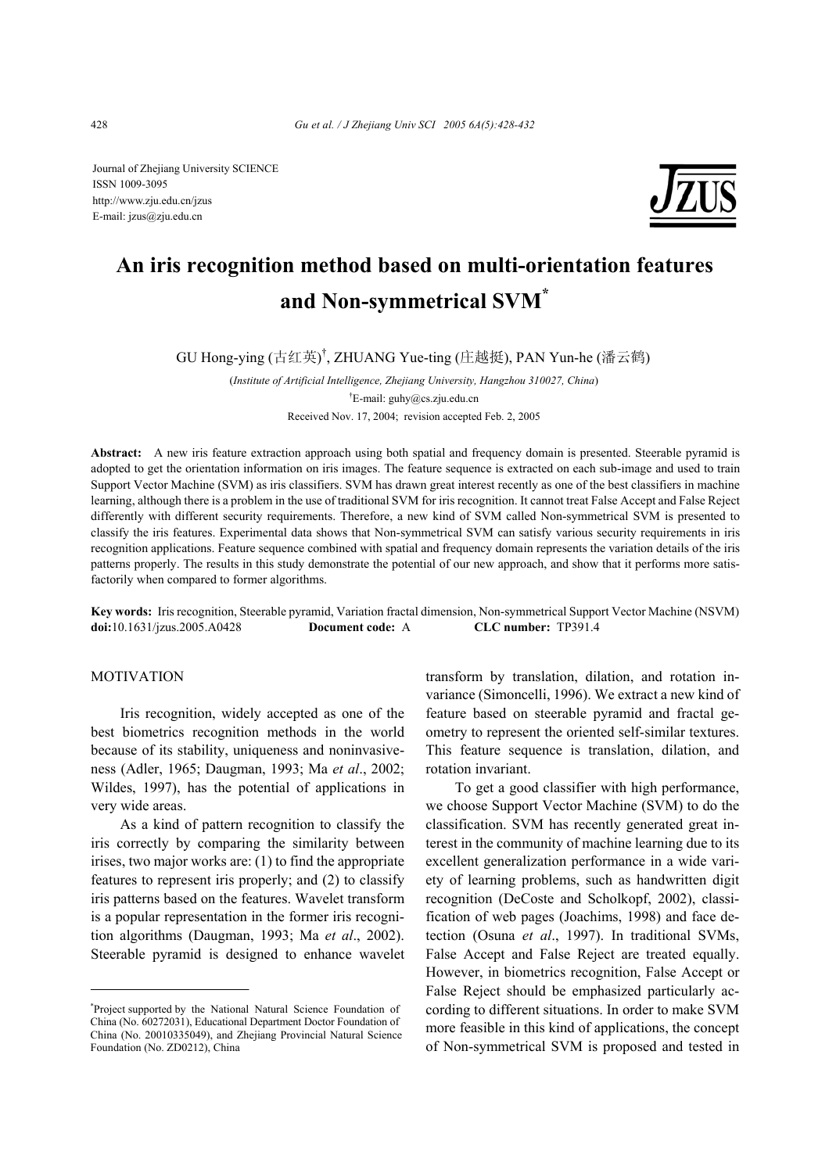Journal of Zhejiang University SCIENCE ISSN 1009-3095 http://www.zju.edu.cn/jzus E-mail: jzus@zju.edu.cn



# **An iris recognition method based on multi-orientation features and Non-symmetrical SVM\***

GU Hong-ying (古红英) † , ZHUANG Yue-ting (庄越挺), PAN Yun-he (潘云鹤)

(*Institute of Artificial Intelligence, Zhejiang University, Hangzhou 310027, China*) † E-mail: guhy@cs.zju.edu.cn Received Nov. 17, 2004; revision accepted Feb. 2, 2005

**Abstract:** A new iris feature extraction approach using both spatial and frequency domain is presented. Steerable pyramid is adopted to get the orientation information on iris images. The feature sequence is extracted on each sub-image and used to train Support Vector Machine (SVM) as iris classifiers. SVM has drawn great interest recently as one of the best classifiers in machine learning, although there is a problem in the use of traditional SVM for iris recognition. It cannot treat False Accept and False Reject differently with different security requirements. Therefore, a new kind of SVM called Non-symmetrical SVM is presented to classify the iris features. Experimental data shows that Non-symmetrical SVM can satisfy various security requirements in iris recognition applications. Feature sequence combined with spatial and frequency domain represents the variation details of the iris patterns properly. The results in this study demonstrate the potential of our new approach, and show that it performs more satisfactorily when compared to former algorithms.

**Key words:** Iris recognition, Steerable pyramid, Variation fractal dimension, Non-symmetrical Support Vector Machine (NSVM) **doi:**10.1631/jzus.2005.A0428 **Document code:** A **CLC number:** TP391.4

#### MOTIVATION

Iris recognition, widely accepted as one of the best biometrics recognition methods in the world because of its stability, uniqueness and noninvasiveness (Adler, 1965; Daugman, 1993; Ma *et al*., 2002; Wildes, 1997), has the potential of applications in very wide areas.

As a kind of pattern recognition to classify the iris correctly by comparing the similarity between irises, two major works are: (1) to find the appropriate features to represent iris properly; and (2) to classify iris patterns based on the features. Wavelet transform is a popular representation in the former iris recognition algorithms (Daugman, 1993; Ma *et al*., 2002). Steerable pyramid is designed to enhance wavelet transform by translation, dilation, and rotation invariance (Simoncelli, 1996). We extract a new kind of feature based on steerable pyramid and fractal geometry to represent the oriented self-similar textures. This feature sequence is translation, dilation, and rotation invariant.

To get a good classifier with high performance, we choose Support Vector Machine (SVM) to do the classification. SVM has recently generated great interest in the community of machine learning due to its excellent generalization performance in a wide variety of learning problems, such as handwritten digit recognition (DeCoste and Scholkopf, 2002), classification of web pages (Joachims, 1998) and face detection (Osuna *et al*., 1997). In traditional SVMs, False Accept and False Reject are treated equally. However, in biometrics recognition, False Accept or False Reject should be emphasized particularly according to different situations. In order to make SVM more feasible in this kind of applications, the concept of Non-symmetrical SVM is proposed and tested in

<sup>\*</sup> Project supported by the National Natural Science Foundation of China (No. 60272031), Educational Department Doctor Foundation of China (No. 20010335049), and Zhejiang Provincial Natural Science Foundation (No. ZD0212), China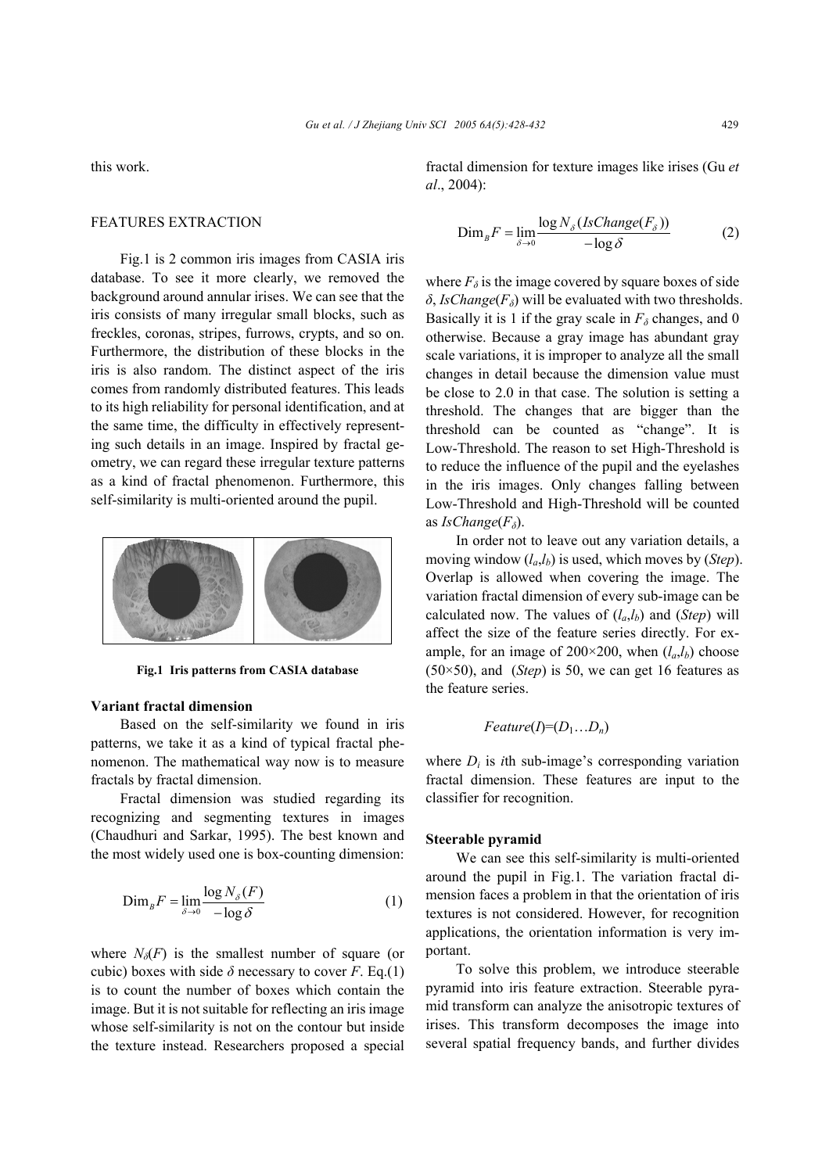this work.

## FEATURES EXTRACTION

Fig.1 is 2 common iris images from CASIA iris database. To see it more clearly, we removed the background around annular irises. We can see that the iris consists of many irregular small blocks, such as freckles, coronas, stripes, furrows, crypts, and so on. Furthermore, the distribution of these blocks in the iris is also random. The distinct aspect of the iris comes from randomly distributed features. This leads to its high reliability for personal identification, and at the same time, the difficulty in effectively representing such details in an image. Inspired by fractal geometry, we can regard these irregular texture patterns as a kind of fractal phenomenon. Furthermore, this self-similarity is multi-oriented around the pupil.



**Fig.1 Iris patterns from CASIA database** 

#### **Variant fractal dimension**

Based on the self-similarity we found in iris patterns, we take it as a kind of typical fractal phenomenon. The mathematical way now is to measure fractals by fractal dimension.

Fractal dimension was studied regarding its recognizing and segmenting textures in images (Chaudhuri and Sarkar, 1995). The best known and the most widely used one is box-counting dimension:

$$
\text{Dim}_B F = \lim_{\delta \to 0} \frac{\log N_{\delta}(F)}{-\log \delta} \tag{1}
$$

where  $N_\delta(F)$  is the smallest number of square (or cubic) boxes with side  $\delta$  necessary to cover *F*. Eq.(1) is to count the number of boxes which contain the image. But it is not suitable for reflecting an iris image whose self-similarity is not on the contour but inside the texture instead. Researchers proposed a special

fractal dimension for texture images like irises (Gu *et al*., 2004):

$$
\text{Dim}_B F = \lim_{\delta \to 0} \frac{\log N_{\delta} (IsChange(F_{\delta}))}{-\log \delta} \tag{2}
$$

where  $F_\delta$  is the image covered by square boxes of side  $\delta$ , *IsChange*( $F$ <sup> $δ$ </sup>) will be evaluated with two thresholds. Basically it is 1 if the gray scale in  $F_\delta$  changes, and 0 otherwise. Because a gray image has abundant gray scale variations, it is improper to analyze all the small changes in detail because the dimension value must be close to 2.0 in that case. The solution is setting a threshold. The changes that are bigger than the threshold can be counted as "change". It is Low-Threshold. The reason to set High-Threshold is to reduce the influence of the pupil and the eyelashes in the iris images. Only changes falling between Low-Threshold and High-Threshold will be counted as *IsChange*(*Fδ*).

In order not to leave out any variation details, a moving window (*la*,*lb*) is used, which moves by (*Step*). Overlap is allowed when covering the image. The variation fractal dimension of every sub-image can be calculated now. The values of  $(l_a, l_b)$  and  $(Step)$  will affect the size of the feature series directly. For example, for an image of  $200 \times 200$ , when  $(l_a, l_b)$  choose  $(50\times50)$ , and  $(Stop)$  is 50, we can get 16 features as the feature series.

$$
Feature(I)=(D_1...D_n)
$$

where  $D_i$  is *i*th sub-image's corresponding variation fractal dimension. These features are input to the classifier for recognition.

#### **Steerable pyramid**

We can see this self-similarity is multi-oriented around the pupil in Fig.1. The variation fractal dimension faces a problem in that the orientation of iris textures is not considered. However, for recognition applications, the orientation information is very important.

To solve this problem, we introduce steerable pyramid into iris feature extraction. Steerable pyramid transform can analyze the anisotropic textures of irises. This transform decomposes the image into several spatial frequency bands, and further divides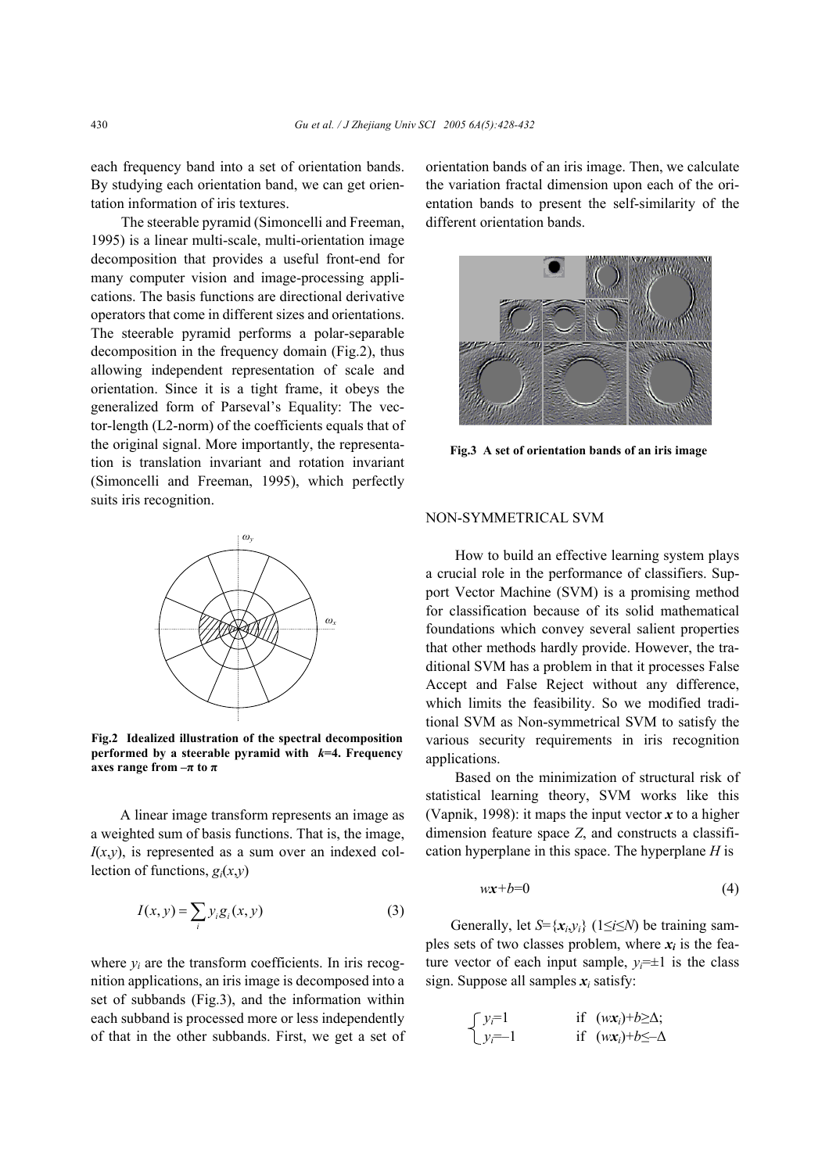each frequency band into a set of orientation bands. By studying each orientation band, we can get orientation information of iris textures.

The steerable pyramid (Simoncelli and Freeman, 1995) is a linear multi-scale, multi-orientation image decomposition that provides a useful front-end for many computer vision and image-processing applications. The basis functions are directional derivative operators that come in different sizes and orientations. The steerable pyramid performs a polar-separable decomposition in the frequency domain (Fig.2), thus allowing independent representation of scale and orientation. Since it is a tight frame, it obeys the generalized form of Parseval's Equality: The vector-length (L2-norm) of the coefficients equals that of the original signal. More importantly, the representation is translation invariant and rotation invariant (Simoncelli and Freeman, 1995), which perfectly suits iris recognition.



**Fig.2 Idealized illustration of the spectral decomposition performed by a steerable pyramid with** *k***=4. Frequency axes range from**  $-\pi$  **to**  $\pi$ 

A linear image transform represents an image as a weighted sum of basis functions. That is, the image,  $I(x,y)$ , is represented as a sum over an indexed collection of functions, *gi*(*x*,*y*)

$$
I(x, y) = \sum_{i} y_i g_i(x, y) \tag{3}
$$

where  $y_i$  are the transform coefficients. In iris recognition applications, an iris image is decomposed into a set of subbands (Fig.3), and the information within each subband is processed more or less independently of that in the other subbands. First, we get a set of orientation bands of an iris image. Then, we calculate the variation fractal dimension upon each of the orientation bands to present the self-similarity of the different orientation bands.



**Fig.3 A set of orientation bands of an iris image**

#### NON-SYMMETRICAL SVM

How to build an effective learning system plays a crucial role in the performance of classifiers. Support Vector Machine (SVM) is a promising method for classification because of its solid mathematical foundations which convey several salient properties that other methods hardly provide. However, the traditional SVM has a problem in that it processes False Accept and False Reject without any difference, which limits the feasibility. So we modified traditional SVM as Non-symmetrical SVM to satisfy the various security requirements in iris recognition applications.

Based on the minimization of structural risk of statistical learning theory, SVM works like this (Vapnik, 1998): it maps the input vector  $x$  to a higher dimension feature space *Z*, and constructs a classification hyperplane in this space. The hyperplane *H* is

$$
wx + b = 0 \tag{4}
$$

Generally, let  $S = \{x_i, y_i\}$  (1≤*i*≤*N*) be training samples sets of two classes problem, where  $x_i$  is the feature vector of each input sample,  $y_i = \pm 1$  is the class sign. Suppose all samples  $x_i$  satisfy:

$$
\begin{cases}\ny_i=1 & \text{if } (w\mathbf{x}_i)+b\geq\Delta; \\
y_i=-1 & \text{if } (w\mathbf{x}_i)+b\leq-\Delta\n\end{cases}
$$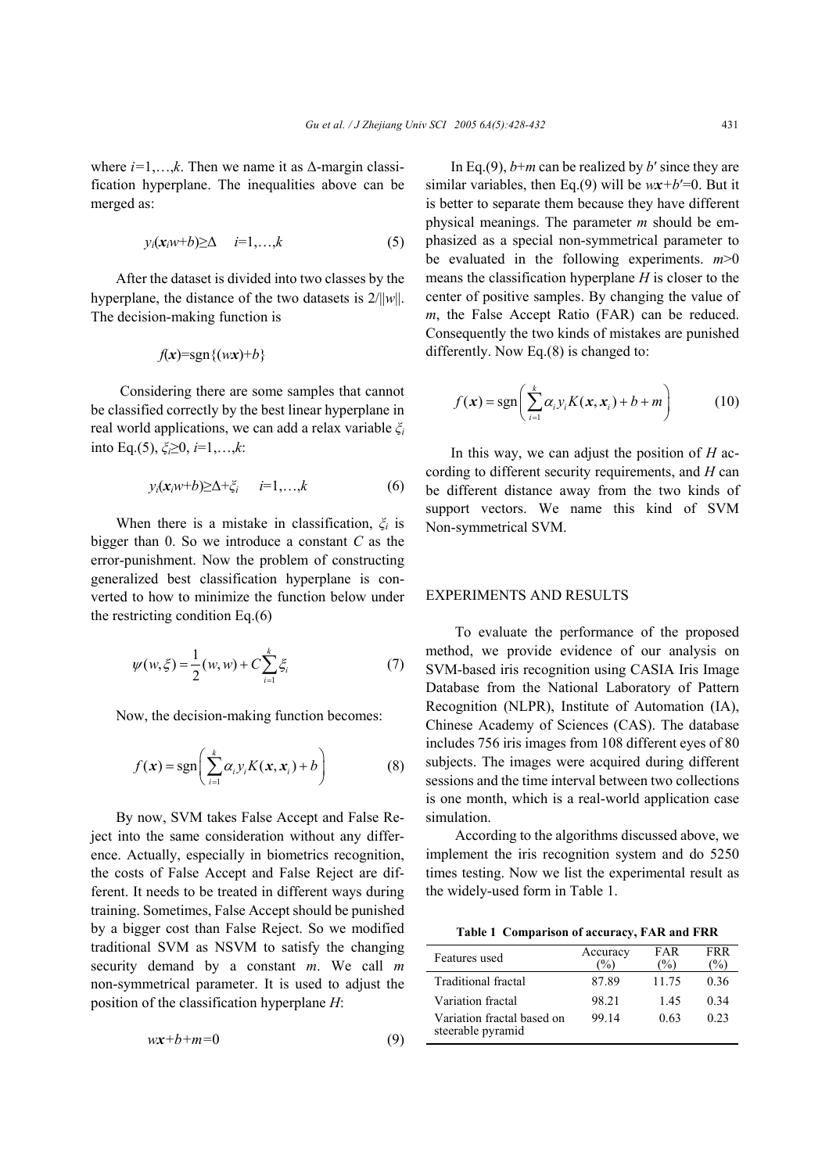where  $i=1,\ldots,k$ . Then we name it as  $\Delta$ -margin classification hyperplane. The inequalities above can be merged as:

$$
y_i(\mathbf{x}_i w + b) \ge \Delta \quad i=1,\ldots,k \tag{5}
$$

After the dataset is divided into two classes by the hyperplane, the distance of the two datasets is 2/||*w*||. The decision-making function is

$$
f(x)=\operatorname{sgn}\{(wx)+b\}
$$

Considering there are some samples that cannot be classified correctly by the best linear hyperplane in real world applications, we can add a relax variable *ξ<sup>i</sup>* into Eq.(5), *ξi*≥0, *i*=1,…,*k*:

$$
y_i(\mathbf{x}_i w + b) \ge \Delta + \xi_i \qquad i = 1, \dots, k \tag{6}
$$

When there is a mistake in classification, *ξi* is bigger than 0. So we introduce a constant *C* as the error-punishment. Now the problem of constructing generalized best classification hyperplane is converted to how to minimize the function below under the restricting condition Eq.(6)

$$
\psi(w,\xi) = \frac{1}{2}(w,w) + C \sum_{i=1}^{k} \xi_i
$$
 (7)

Now, the decision-making function becomes:

$$
f(\mathbf{x}) = \text{sgn}\left(\sum_{i=1}^{k} \alpha_i y_i K(\mathbf{x}, \mathbf{x}_i) + b\right)
$$
 (8)

By now, SVM takes False Accept and False Reject into the same consideration without any difference. Actually, especially in biometrics recognition, the costs of False Accept and False Reject are different. It needs to be treated in different ways during training. Sometimes, False Accept should be punished by a bigger cost than False Reject. So we modified traditional SVM as NSVM to satisfy the changing security demand by a constant *m*. We call *m* non-symmetrical parameter. It is used to adjust the position of the classification hyperplane *H*:

$$
wx+b+m=0\tag{9}
$$

In Eq.(9), *b*+*m* can be realized by *b*′ since they are similar variables, then Eq.(9) will be  $wx+b'=0$ . But it is better to separate them because they have different physical meanings. The parameter *m* should be emphasized as a special non-symmetrical parameter to be evaluated in the following experiments.  $m>0$ means the classification hyperplane *H* is closer to the center of positive samples. By changing the value of *m*, the False Accept Ratio (FAR) can be reduced. Consequently the two kinds of mistakes are punished differently. Now Eq.(8) is changed to:

$$
f(\mathbf{x}) = \text{sgn}\left(\sum_{i=1}^{k} \alpha_i y_i K(\mathbf{x}, \mathbf{x}_i) + b + m\right)
$$
 (10)

In this way, we can adjust the position of *H* according to different security requirements, and *H* can be different distance away from the two kinds of support vectors. We name this kind of SVM Non-symmetrical SVM.

#### EXPERIMENTS AND RESULTS

To evaluate the performance of the proposed method, we provide evidence of our analysis on SVM-based iris recognition using CASIA Iris Image Database from the National Laboratory of Pattern Recognition (NLPR), Institute of Automation (IA), Chinese Academy of Sciences (CAS). The database includes 756 iris images from 108 different eyes of 80 subjects. The images were acquired during different sessions and the time interval between two collections is one month, which is a real-world application case simulation.

According to the algorithms discussed above, we implement the iris recognition system and do 5250 times testing. Now we list the experimental result as the widely-used form in Table 1.

**Table 1 Comparison of accuracy, FAR and FRR**

| Features used                                   | Accuracy<br>$\%$ | FAR<br>$\frac{1}{2}$ | <b>FRR</b><br>$\frac{1}{2}$ |
|-------------------------------------------------|------------------|----------------------|-----------------------------|
| Traditional fractal                             | 87.89            | 11.75                | 0.36                        |
| Variation fractal                               | 98.21            | 145                  | 0.34                        |
| Variation fractal based on<br>steerable pyramid | 99 14            | 0.63                 | 0.23                        |